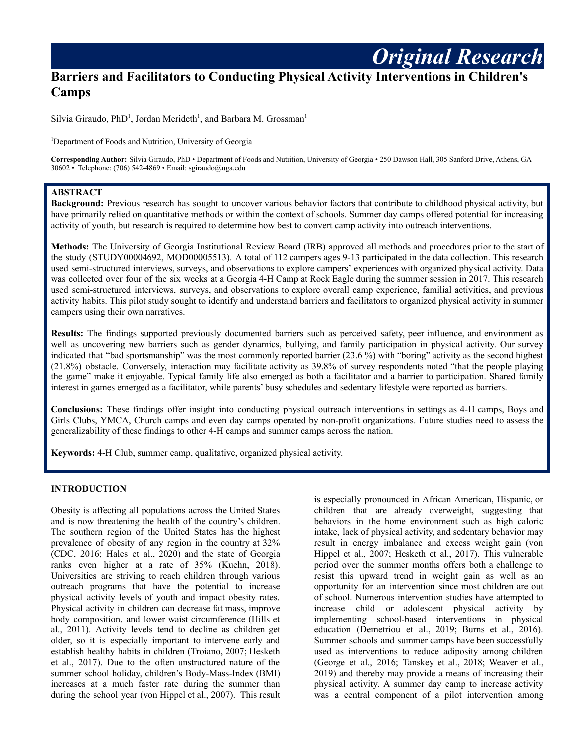# **Barriers and Facilitators to Conducting Physical Activity Interventions in Children's Camps**

Silvia Giraudo, PhD<sup>1</sup>, Jordan Merideth<sup>1</sup>, and Barbara M. Grossman<sup>1</sup>

<sup>1</sup>Department of Foods and Nutrition, University of Georgia

**Corresponding Author:** Silvia Giraudo, PhD • Department of Foods and Nutrition, University of Georgia • 250 Dawson Hall, 305 Sanford Drive, Athens, GA 30602 • Telephone: (706) 542-4869 • Email: sgiraudo@uga.edu

### **ABSTRACT**

**Background:** Previous research has sought to uncover various behavior factors that contribute to childhood physical activity, but have primarily relied on quantitative methods or within the context of schools. Summer day camps offered potential for increasing activity of youth, but research is required to determine how best to convert camp activity into outreach interventions.

**Methods:** The University of Georgia Institutional Review Board (IRB) approved all methods and procedures prior to the start of the study (STUDY00004692, MOD00005513). A total of 112 campers ages 9-13 participated in the data collection. This research used semi-structured interviews, surveys, and observations to explore campers' experiences with organized physical activity. Data was collected over four of the six weeks at a Georgia 4-H Camp at Rock Eagle during the summer session in 2017. This research used semi-structured interviews, surveys, and observations to explore overall camp experience, familial activities, and previous activity habits. This pilot study sought to identify and understand barriers and facilitators to organized physical activity in summer campers using their own narratives.

**Results:** The findings supported previously documented barriers such as perceived safety, peer influence, and environment as well as uncovering new barriers such as gender dynamics, bullying, and family participation in physical activity. Our survey indicated that "bad sportsmanship" was the most commonly reported barrier (23.6 %) with "boring" activity as the second highest (21.8%) obstacle. Conversely, interaction may facilitate activity as 39.8% of survey respondents noted "that the people playing the game" make it enjoyable. Typical family life also emerged as both a facilitator and a barrier to participation. Shared family interest in games emerged as a facilitator, while parents' busy schedules and sedentary lifestyle were reported as barriers.

**Conclusions:** These findings offer insight into conducting physical outreach interventions in settings as 4-H camps, Boys and Girls Clubs, YMCA, Church camps and even day camps operated by non-profit organizations. Future studies need to assess the generalizability of these findings to other 4-H camps and summer camps across the nation.

**Keywords:** 4-H Club, summer camp, qualitative, organized physical activity.

#### **INTRODUCTION**

Obesity is affecting all populations across the United States and is now threatening the health of the country's children. The southern region of the United States has the highest prevalence of obesity of any region in the country at 32% (CDC, 2016; Hales et al., 2020) and the state of Georgia ranks even higher at a rate of 35% (Kuehn, 2018). Universities are striving to reach children through various outreach programs that have the potential to increase physical activity levels of youth and impact obesity rates. Physical activity in children can decrease fat mass, improve body composition, and lower waist circumference (Hills et al., 2011). Activity levels tend to decline as children get older, so it is especially important to intervene early and establish healthy habits in children (Troiano, 2007; Hesketh et al., 2017). Due to the often unstructured nature of the summer school holiday, children's Body-Mass-Index (BMI) increases at a much faster rate during the summer than during the school year (von Hippel et al., 2007). This result

is especially pronounced in African American, Hispanic, or children that are already overweight, suggesting that behaviors in the home environment such as high caloric intake, lack of physical activity, and sedentary behavior may result in energy imbalance and excess weight gain (von Hippel et al., 2007; Hesketh et al., 2017). This vulnerable period over the summer months offers both a challenge to resist this upward trend in weight gain as well as an opportunity for an intervention since most children are out of school. Numerous intervention studies have attempted to increase child or adolescent physical activity by implementing school-based interventions in physical education (Demetriou et al., 2019; Burns et al., 2016). Summer schools and summer camps have been successfully used as interventions to reduce adiposity among children (George et al., 2016; Tanskey et al., 2018; Weaver et al., 2019) and thereby may provide a means of increasing their physical activity. A summer day camp to increase activity was a central component of a pilot intervention among

*Original Research*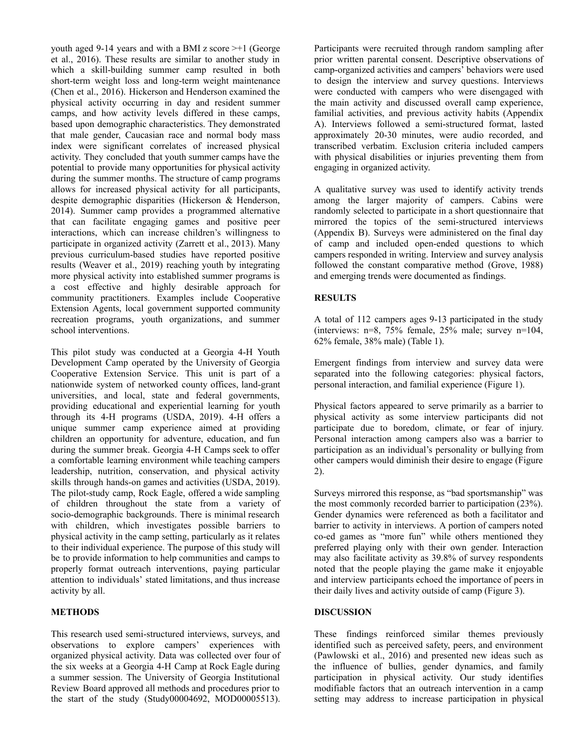youth aged 9-14 years and with a BMI z score >+1 (George et al., 2016). These results are similar to another study in which a skill-building summer camp resulted in both short-term weight loss and long-term weight maintenance (Chen et al., 2016). Hickerson and Henderson examined the physical activity occurring in day and resident summer camps, and how activity levels differed in these camps, based upon demographic characteristics. They demonstrated that male gender, Caucasian race and normal body mass index were significant correlates of increased physical activity. They concluded that youth summer camps have the potential to provide many opportunities for physical activity during the summer months. The structure of camp programs allows for increased physical activity for all participants, despite demographic disparities (Hickerson & Henderson, 2014). Summer camp provides a programmed alternative that can facilitate engaging games and positive peer interactions, which can increase children's willingness to participate in organized activity (Zarrett et al., 2013). Many previous curriculum-based studies have reported positive results (Weaver et al., 2019) reaching youth by integrating more physical activity into established summer programs is a cost effective and highly desirable approach for community practitioners. Examples include Cooperative Extension Agents, local government supported community recreation programs, youth organizations, and summer school interventions.

This pilot study was conducted at a Georgia 4-H Youth Development Camp operated by the University of Georgia Cooperative Extension Service. This unit is part of a nationwide system of networked county offices, land-grant universities, and local, state and federal governments, providing educational and experiential learning for youth through its 4-H programs (USDA, 2019). 4-H offers a unique summer camp experience aimed at providing children an opportunity for adventure, education, and fun during the summer break. Georgia 4-H Camps seek to offer a comfortable learning environment while teaching campers leadership, nutrition, conservation, and physical activity skills through hands-on games and activities (USDA, 2019). The pilot-study camp, Rock Eagle, offered a wide sampling of children throughout the state from a variety of socio-demographic backgrounds. There is minimal research with children, which investigates possible barriers to physical activity in the camp setting, particularly as it relates to their individual experience. The purpose of this study will be to provide information to help communities and camps to properly format outreach interventions, paying particular attention to individuals' stated limitations, and thus increase activity by all.

## **METHODS**

This research used semi-structured interviews, surveys, and observations to explore campers' experiences with organized physical activity. Data was collected over four of the six weeks at a Georgia 4-H Camp at Rock Eagle during a summer session. The University of Georgia Institutional Review Board approved all methods and procedures prior to the start of the study (Study00004692, MOD00005513).

Participants were recruited through random sampling after prior written parental consent. Descriptive observations of camp-organized activities and campers' behaviors were used to design the interview and survey questions. Interviews were conducted with campers who were disengaged with the main activity and discussed overall camp experience, familial activities, and previous activity habits (Appendix A). Interviews followed a semi-structured format, lasted approximately 20-30 minutes, were audio recorded, and transcribed verbatim. Exclusion criteria included campers with physical disabilities or injuries preventing them from engaging in organized activity.

A qualitative survey was used to identify activity trends among the larger majority of campers. Cabins were randomly selected to participate in a short questionnaire that mirrored the topics of the semi-structured interviews (Appendix B). Surveys were administered on the final day of camp and included open-ended questions to which campers responded in writing. Interview and survey analysis followed the constant comparative method (Grove, 1988) and emerging trends were documented as findings.

## **RESULTS**

A total of 112 campers ages 9-13 participated in the study (interviews: n=8, 75% female, 25% male; survey n=104, 62% female, 38% male) (Table 1).

Emergent findings from interview and survey data were separated into the following categories: physical factors, personal interaction, and familial experience (Figure 1).

Physical factors appeared to serve primarily as a barrier to physical activity as some interview participants did not participate due to boredom, climate, or fear of injury. Personal interaction among campers also was a barrier to participation as an individual's personality or bullying from other campers would diminish their desire to engage (Figure 2).

Surveys mirrored this response, as "bad sportsmanship" was the most commonly recorded barrier to participation (23%). Gender dynamics were referenced as both a facilitator and barrier to activity in interviews. A portion of campers noted co-ed games as "more fun" while others mentioned they preferred playing only with their own gender. Interaction may also facilitate activity as 39.8% of survey respondents noted that the people playing the game make it enjoyable and interview participants echoed the importance of peers in their daily lives and activity outside of camp (Figure 3).

#### **DISCUSSION**

These findings reinforced similar themes previously identified such as perceived safety, peers, and environment (Pawlowski et al., 2016) and presented new ideas such as the influence of bullies, gender dynamics, and family participation in physical activity. Our study identifies modifiable factors that an outreach intervention in a camp setting may address to increase participation in physical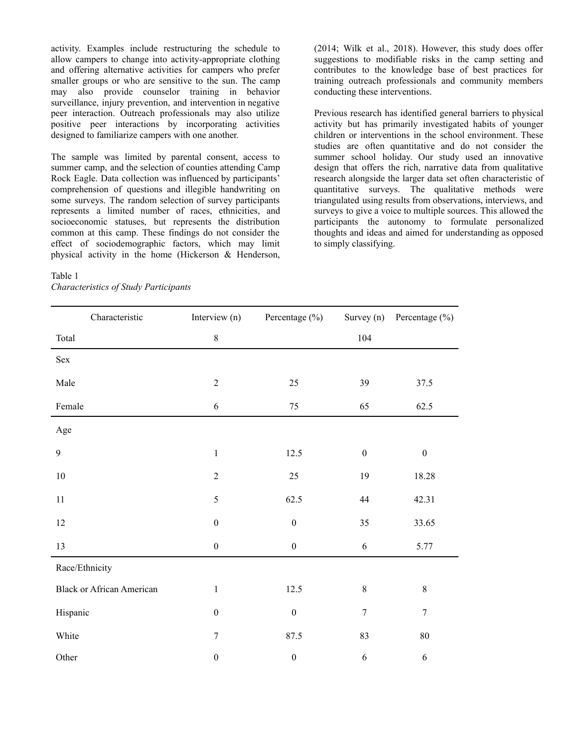activity. Examples include restructuring the schedule to allow campers to change into activity-appropriate clothing and offering alternative activities for campers who prefer smaller groups or who are sensitive to the sun. The camp may also provide counselor training in behavior surveillance, injury prevention, and intervention in negative peer interaction. Outreach professionals may also utilize positive peer interactions by incorporating activities designed to familiarize campers with one another.

The sample was limited by parental consent, access to summer camp, and the selection of counties attending Camp Rock Eagle. Data collection was influenced by participants' comprehension of questions and illegible handwriting on some surveys. The random selection of survey participants represents a limited number of races, ethnicities, and socioeconomic statuses, but represents the distribution common at this camp. These findings do not consider the effect of sociodemographic factors, which may limit physical activity in the home (Hickerson & Henderson,

#### Table 1 *Characteristics of Study Participants*

(2014; Wilk et al., 2018). However, this study does offer suggestions to modifiable risks in the camp setting and contributes to the knowledge base of best practices for training outreach professionals and community members conducting these interventions.

Previous research has identified general barriers to physical activity but has primarily investigated habits of younger children or interventions in the school environment. These studies are often quantitative and do not consider the summer school holiday. Our study used an innovative design that offers the rich, narrative data from qualitative research alongside the larger data set often characteristic of quantitative surveys. The qualitative methods were triangulated using results from observations, interviews, and surveys to give a voice to multiple sources. This allowed the participants the autonomy to formulate personalized thoughts and ideas and aimed for understanding as opposed to simply classifying.

| Characteristic                   | Interview (n)    | Percentage (%)   |                  | Survey (n) Percentage $(\% )$ |
|----------------------------------|------------------|------------------|------------------|-------------------------------|
| Total                            | $8\,$            |                  | 104              |                               |
| Sex                              |                  |                  |                  |                               |
| Male                             | $\sqrt{2}$       | 25               | 39               | 37.5                          |
| Female                           | 6                | 75               | 65               | 62.5                          |
| Age                              |                  |                  |                  |                               |
| $\mathbf{9}$                     | $\,1$            | 12.5             | $\boldsymbol{0}$ | $\boldsymbol{0}$              |
| $10\,$                           | $\overline{2}$   | 25               | 19               | 18.28                         |
| $11\,$                           | 5                | 62.5             | 44               | 42.31                         |
| $12\,$                           | $\boldsymbol{0}$ | $\boldsymbol{0}$ | 35               | 33.65                         |
| 13                               | $\boldsymbol{0}$ | $\boldsymbol{0}$ | 6                | 5.77                          |
| Race/Ethnicity                   |                  |                  |                  |                               |
| <b>Black or African American</b> | $\mathbf{1}$     | 12.5             | 8                | $8\,$                         |
| Hispanic                         | $\boldsymbol{0}$ | $\boldsymbol{0}$ | $\boldsymbol{7}$ | $\boldsymbol{7}$              |
| White                            | 7                | 87.5             | 83               | $80\,$                        |
| Other                            | $\boldsymbol{0}$ | $\boldsymbol{0}$ | $\sqrt{6}$       | $\sqrt{6}$                    |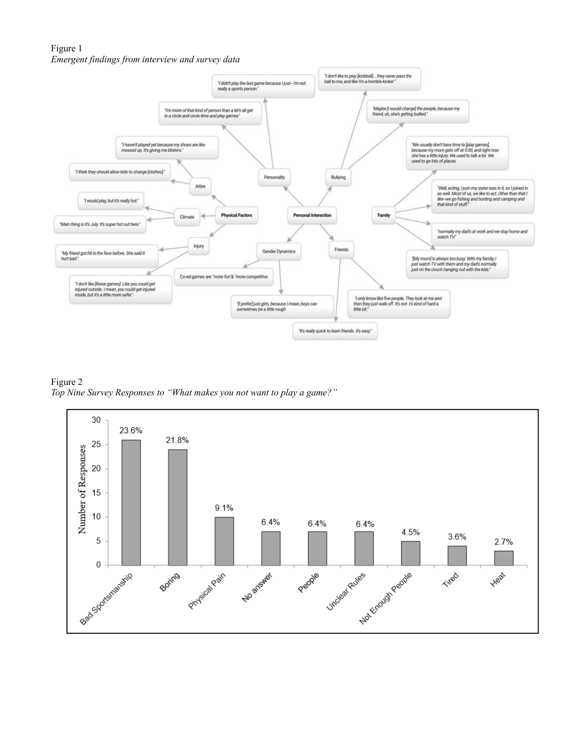## Figure 1 *Emergent findings from interview and survey data*



Figure 2 *Top Nine Survey Responses to "What makes you not want to play a game?"*

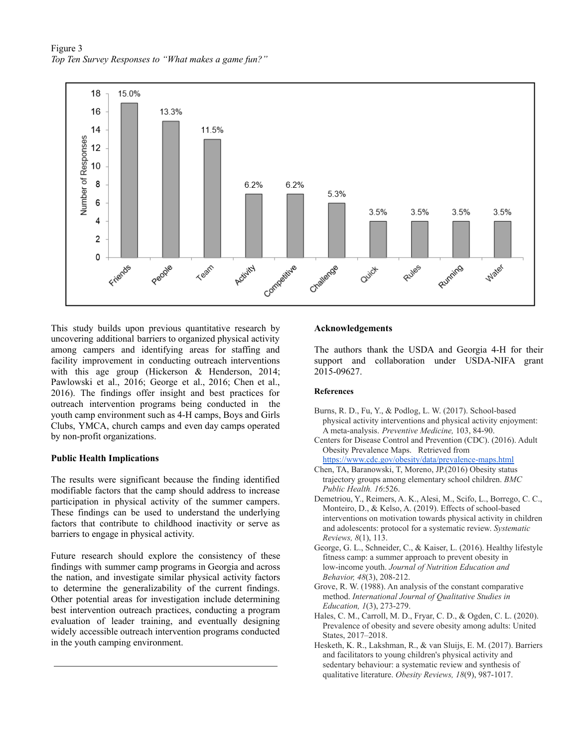Figure 3 *Top Ten Survey Responses to "What makes a game fun?"*



This study builds upon previous quantitative research by uncovering additional barriers to organized physical activity among campers and identifying areas for staffing and facility improvement in conducting outreach interventions with this age group (Hickerson & Henderson, 2014; Pawlowski et al., 2016; George et al., 2016; Chen et al., 2016). The findings offer insight and best practices for outreach intervention programs being conducted in the youth camp environment such as 4-H camps, Boys and Girls Clubs, YMCA, church camps and even day camps operated by non-profit organizations.

#### **Public Health Implications**

The results were significant because the finding identified modifiable factors that the camp should address to increase participation in physical activity of the summer campers. These findings can be used to understand the underlying factors that contribute to childhood inactivity or serve as barriers to engage in physical activity.

Future research should explore the consistency of these findings with summer camp programs in Georgia and across the nation, and investigate similar physical activity factors to determine the generalizability of the current findings. Other potential areas for investigation include determining best intervention outreach practices, conducting a program evaluation of leader training, and eventually designing widely accessible outreach intervention programs conducted in the youth camping environment.

#### **Acknowledgements**

The authors thank the USDA and Georgia 4-H for their support and collaboration under USDA-NIFA grant 2015-09627.

#### **References**

- Burns, R. D., Fu, Y., & Podlog, L. W. (2017). School-based physical activity interventions and physical activity enjoyment: A meta-analysis. *Preventive Medicine,* 103, 84-90.
- Centers for Disease Control and Prevention (CDC). (2016). Adult Obesity Prevalence Maps. Retrieved from <https://www.cdc.gov/obesity/data/prevalence-maps.html>
- Chen, TA, Baranowski, T, Moreno, JP.(2016) Obesity status trajectory groups among elementary school children. *BMC Public Health. 16*:526.
- Demetriou, Y., Reimers, A. K., Alesi, M., Scifo, L., Borrego, C. C., Monteiro, D., & Kelso, A. (2019). Effects of school-based interventions on motivation towards physical activity in children and adolescents: protocol for a systematic review. *Systematic Reviews, 8*(1), 113.
- George, G. L., Schneider, C., & Kaiser, L. (2016). Healthy lifestyle fitness camp: a summer approach to prevent obesity in low-income youth. *Journal of Nutrition Education and Behavior, 48*(3), 208-212.
- Grove, R. W. (1988). An analysis of the constant comparative method. *International Journal of Qualitative Studies in Education, 1*(3), 273-279.
- Hales, C. M., Carroll, M. D., Fryar, C. D., & Ogden, C. L. (2020). Prevalence of obesity and severe obesity among adults: United States, 2017–2018.
- Hesketh, K. R., Lakshman, R., & van Sluijs, E. M. (2017). Barriers and facilitators to young children's physical activity and sedentary behaviour: a systematic review and synthesis of qualitative literature. *Obesity Reviews, 18*(9), 987-1017.